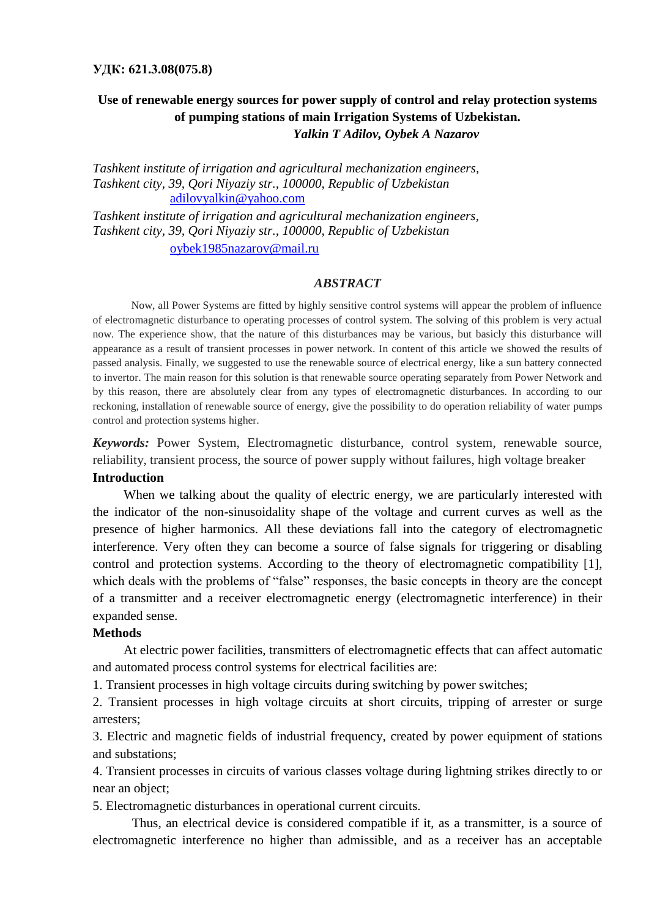### **УДК: 621.3.08(075.8)**

## **Use of renewable energy sources for power supply of control and relay protection systems of pumping stations of main Irrigation Systems of Uzbekistan.** *Yalkin T Adilov, Oybek A Nazarov*

*Tashkent institute of irrigation and agricultural mechanization engineers, Tashkent city, 39, Qori Niyaziy str., 100000, Republic of Uzbekistan* [adilovyalkin@yahoo.com](mailto:adilovyalkin@yahoo.com)

*Tashkent institute of irrigation and agricultural mechanization engineers, Tashkent city, 39, Qori Niyaziy str., 100000, Republic of Uzbekistan* [oybek1985nazarov@mail.ru](mailto:oybek1985nazarov@mail.ru)

### *ABSTRACT*

Now, all Power Systems are fitted by highly sensitive control systems will appear the problem of influence of electromagnetic disturbance to operating processes of control system. The solving of this problem is very actual now. The experience show, that the nature of this disturbances may be various, but basicly this disturbance will appearance as a result of transient processes in power network. In content of this article we showed the results of passed analysis. Finally, we suggested to use the renewable source of electrical energy, like a sun battery connected to invertor. The main reason for this solution is that renewable source operating separately from Power Network and by this reason, there are absolutely clear from any types of electromagnetic disturbances. In according to our reckoning, installation of renewable source of energy, give the possibility to do operation reliability of water pumps control and protection systems higher.

*Keywords:* Power System, Electromagnetic disturbance, control system, renewable source, reliability, transient process, the source of power supply without failures, high voltage breaker

## **Introduction**

When we talking about the quality of electric energy, we are particularly interested with the indicator of the non-sinusoidality shape of the voltage and current curves as well as the presence of higher harmonics. All these deviations fall into the category of electromagnetic interference. Very often they can become a source of false signals for triggering or disabling control and protection systems. According to the theory of electromagnetic compatibility [1], which deals with the problems of "false" responses, the basic concepts in theory are the concept of a transmitter and a receiver electromagnetic energy (electromagnetic interference) in their expanded sense.

#### **Methods**

At electric power facilities, transmitters of electromagnetic effects that can affect automatic and automated process control systems for electrical facilities are:

1. Transient processes in high voltage circuits during switching by power switches;

2. Transient processes in high voltage circuits at short circuits, tripping of arrester or surge arresters;

3. Electric and magnetic fields of industrial frequency, created by power equipment of stations and substations;

4. Transient processes in circuits of various classes voltage during lightning strikes directly to or near an object;

5. Electromagnetic disturbances in operational current circuits.

Thus, an electrical device is considered compatible if it, as a transmitter, is a source of electromagnetic interference no higher than admissible, and as a receiver has an acceptable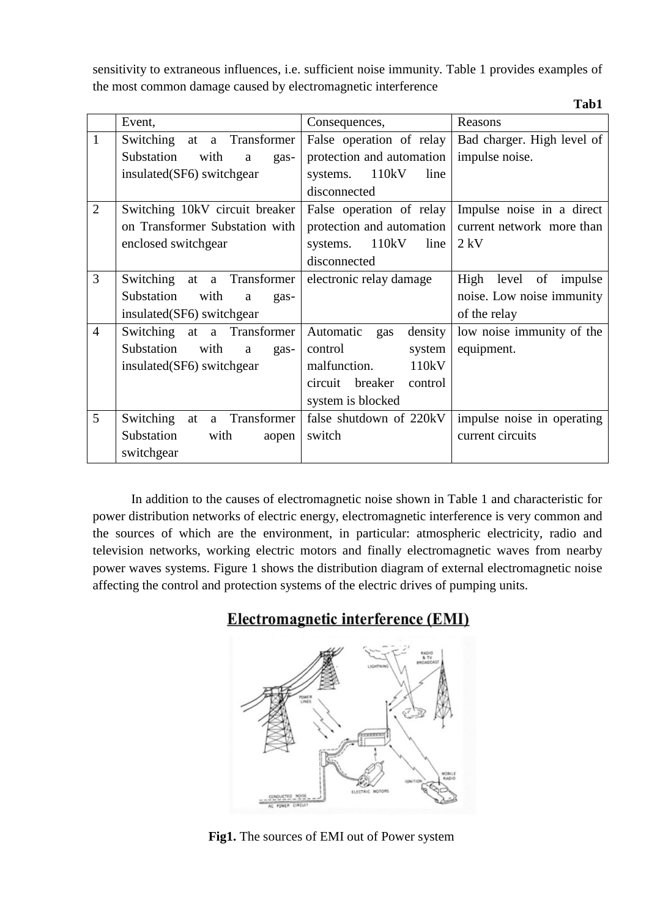sensitivity to extraneous influences, i.e. sufficient noise immunity. Table 1 provides examples of the most common damage caused by electromagnetic interference

|                |                                     |                               | Tab1                        |
|----------------|-------------------------------------|-------------------------------|-----------------------------|
|                | Event,                              | Consequences,                 | Reasons                     |
| $\mathbf{1}$   | a Transformer<br>Switching<br>at    | False operation of relay      | Bad charger. High level of  |
|                | Substation<br>with<br>a<br>gas-     | protection and automation     | impulse noise.              |
|                | insulated(SF6) switchgear           | 110kV<br>line<br>systems.     |                             |
|                |                                     | disconnected                  |                             |
| $\overline{2}$ | Switching 10kV circuit breaker      | False operation of relay      | Impulse noise in a direct   |
|                | on Transformer Substation with      | protection and automation     | current network more than   |
|                | enclosed switchgear                 | 110kV<br>line<br>systems.     | $2$ kV                      |
|                |                                     | disconnected                  |                             |
| $\overline{3}$ | Switching at a Transformer          | electronic relay damage       | level of<br>High<br>impulse |
|                | Substation<br>with<br>a<br>gas-     |                               | noise. Low noise immunity   |
|                | insulated(SF6) switchgear           |                               | of the relay                |
| $\overline{4}$ | Switching at a Transformer          | Automatic<br>density<br>gas   | low noise immunity of the   |
|                | Substation<br>with<br>a<br>gas-     | control<br>system             | equipment.                  |
|                | insulated(SF6) switchgear           | malfunction.<br>110kV         |                             |
|                |                                     | breaker<br>circuit<br>control |                             |
|                |                                     | system is blocked             |                             |
| 5              | Switching<br>Transformer<br>at<br>a | false shutdown of 220kV       | impulse noise in operating  |
|                | Substation<br>with<br>aopen         | switch                        | current circuits            |
|                | switchgear                          |                               |                             |

In addition to the causes of electromagnetic noise shown in Table 1 and characteristic for power distribution networks of electric energy, electromagnetic interference is very common and the sources of which are the environment, in particular: atmospheric electricity, radio and television networks, working electric motors and finally electromagnetic waves from nearby power waves systems. Figure 1 shows the distribution diagram of external electromagnetic noise affecting the control and protection systems of the electric drives of pumping units.

# **Electromagnetic interference (EMI)**



**Fig1.** The sources of EMI out of Power system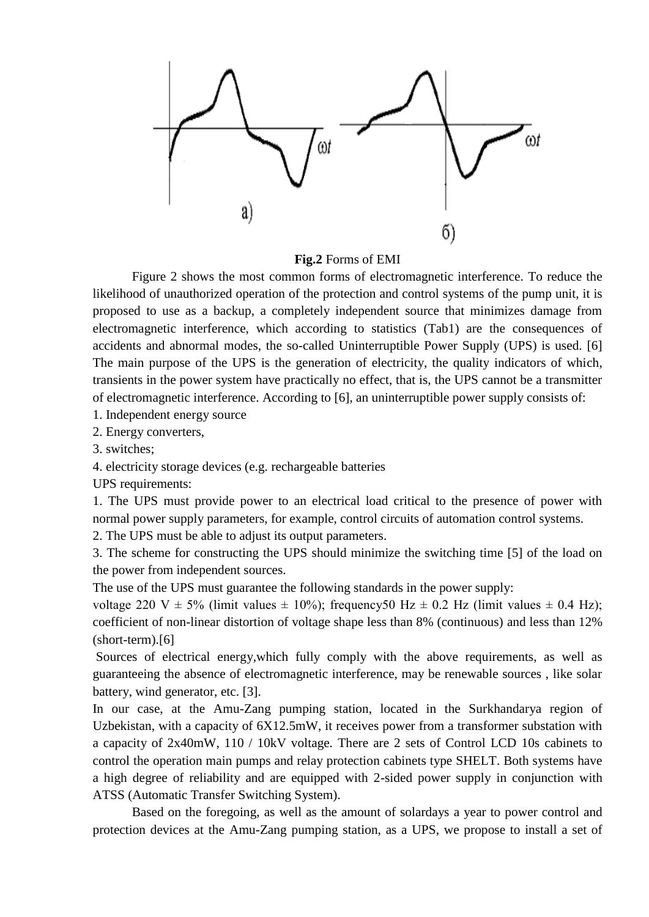

**Fig.2** Forms of EMI

Figure 2 shows the most common forms of electromagnetic interference. To reduce the likelihood of unauthorized operation of the protection and control systems of the pump unit, it is proposed to use as a backup, a completely independent source that minimizes damage from electromagnetic interference, which according to statistics (Tab1) are the consequences of accidents and abnormal modes, the so-called Uninterruptible Power Supply (UPS) is used. [6] The main purpose of the UPS is the generation of electricity, the quality indicators of which, transients in the power system have practically no effect, that is, the UPS cannot be a transmitter of electromagnetic interference. According to [6], an uninterruptible power supply consists of:

1. Independent energy source

2. Energy converters,

3. switches;

4. electricity storage devices (e.g. rechargeable batteries

UPS requirements:

1. The UPS must provide power to an electrical load critical to the presence of power with normal power supply parameters, for example, control circuits of automation control systems.

2. The UPS must be able to adjust its output parameters.

3. The scheme for constructing the UPS should minimize the switching time [5] of the load on the power from independent sources.

The use of the UPS must guarantee the following standards in the power supply:

voltage 220 V  $\pm$  5% (limit values  $\pm$  10%); frequency50 Hz  $\pm$  0.2 Hz (limit values  $\pm$  0.4 Hz); coefficient of non-linear distortion of voltage shape less than 8% (continuous) and less than 12% (short-term).[6]

Sources of electrical energy,which fully comply with the above requirements, as well as guaranteeing the absence of electromagnetic interference, may be renewable sources , like solar battery, wind generator, etc. [3].

In our case, at the Amu-Zang pumping station, located in the Surkhandarya region of Uzbekistan, with a capacity of 6X12.5mW, it receives power from a transformer substation with a capacity of 2x40mW, 110 / 10kV voltage. There are 2 sets of Control LCD 10s cabinets to control the operation main pumps and relay protection cabinets type SHELT. Both systems have a high degree of reliability and are equipped with 2-sided power supply in conjunction with ATSS (Automatic Transfer Switching System).

Based on the foregoing, as well as the amount of solardays a year to power control and protection devices at the Amu-Zang pumping station, as a UPS, we propose to install a set of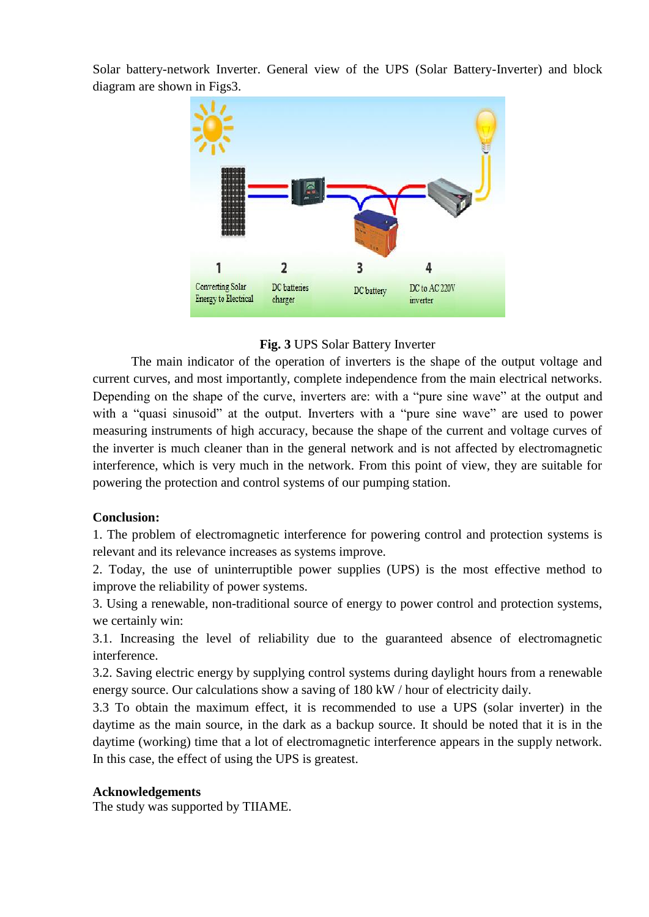Solar battery-network Inverter. General view of the UPS (Solar Battery-Inverter) and block diagram are shown in Figs3.



## **Fig. 3** UPS Solar Battery Inverter

The main indicator of the operation of inverters is the shape of the output voltage and current curves, and most importantly, complete independence from the main electrical networks. Depending on the shape of the curve, inverters are: with a "pure sine wave" at the output and with a "quasi sinusoid" at the output. Inverters with a "pure sine wave" are used to power measuring instruments of high accuracy, because the shape of the current and voltage curves of the inverter is much cleaner than in the general network and is not affected by electromagnetic interference, which is very much in the network. From this point of view, they are suitable for powering the protection and control systems of our pumping station.

## **Conclusion:**

1. The problem of electromagnetic interference for powering control and protection systems is relevant and its relevance increases as systems improve.

2. Today, the use of uninterruptible power supplies (UPS) is the most effective method to improve the reliability of power systems.

3. Using a renewable, non-traditional source of energy to power control and protection systems, we certainly win:

3.1. Increasing the level of reliability due to the guaranteed absence of electromagnetic interference.

3.2. Saving electric energy by supplying control systems during daylight hours from a renewable energy source. Our calculations show a saving of 180 kW / hour of electricity daily.

3.3 To obtain the maximum effect, it is recommended to use a UPS (solar inverter) in the daytime as the main source, in the dark as a backup source. It should be noted that it is in the daytime (working) time that a lot of electromagnetic interference appears in the supply network. In this case, the effect of using the UPS is greatest.

## **Acknowledgements**

The study was supported by TIIAME.